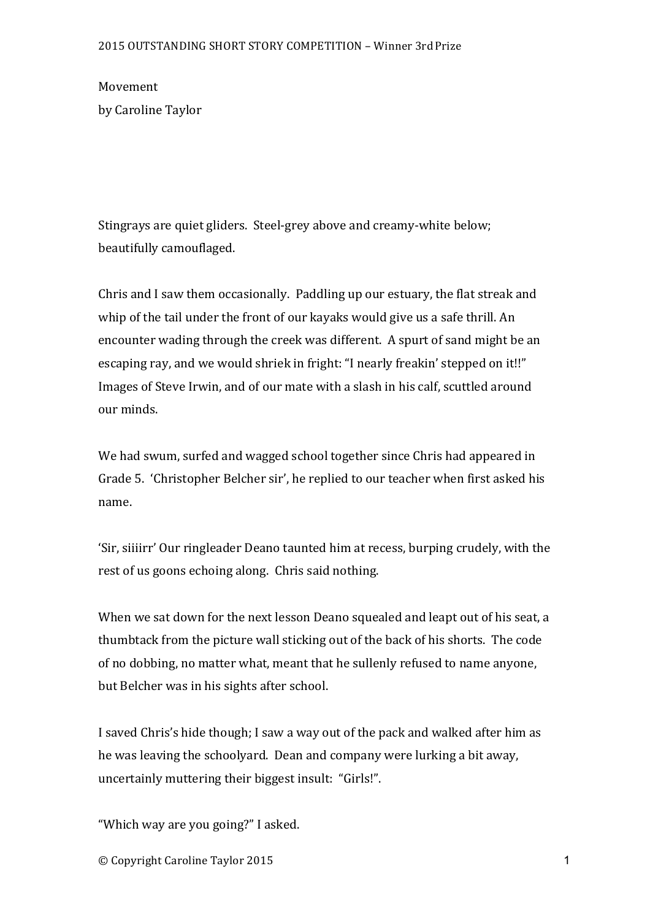Movement by Caroline Taylor

Stingrays are quiet gliders. Steel-grey above and creamy-white below; beautifully camouflaged.

Chris and I saw them occasionally. Paddling up our estuary, the flat streak and whip of the tail under the front of our kayaks would give us a safe thrill. An encounter wading through the creek was different. A spurt of sand might be an escaping ray, and we would shriek in fright: "I nearly freakin' stepped on it!!" Images of Steve Irwin, and of our mate with a slash in his calf, scuttled around our minds.

We had swum, surfed and wagged school together since Chris had appeared in Grade 5. 'Christopher Belcher sir', he replied to our teacher when first asked his name.

'Sir, siijirr' Our ringleader Deano taunted him at recess, burping crudely, with the rest of us goons echoing along. Chris said nothing.

When we sat down for the next lesson Deano squealed and leapt out of his seat, a thumbtack from the picture wall sticking out of the back of his shorts. The code of no dobbing, no matter what, meant that he sullenly refused to name anyone, but Belcher was in his sights after school.

I saved Chris's hide though; I saw a way out of the pack and walked after him as he was leaving the schoolyard. Dean and company were lurking a bit away, uncertainly muttering their biggest insult: "Girls!".

"Which way are you going?" I asked.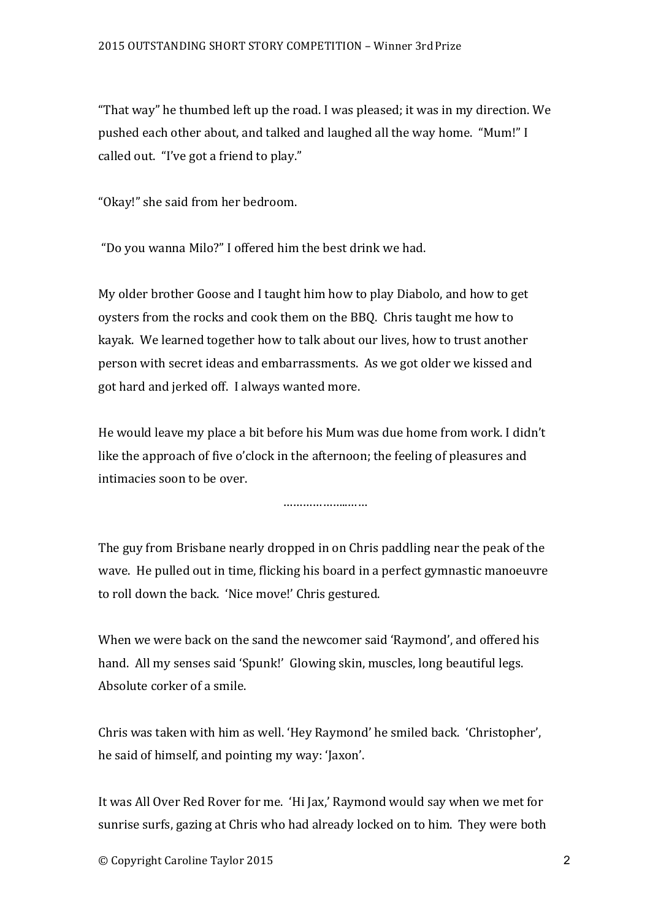"That way" he thumbed left up the road. I was pleased; it was in my direction. We pushed each other about, and talked and laughed all the way home. "Mum!" I called out. "I've got a friend to play."

"Okay!" she said from her bedroom.

"Do you wanna Milo?" I offered him the best drink we had.

My older brother Goose and I taught him how to play Diabolo, and how to get oysters from the rocks and cook them on the BBQ. Chris taught me how to kayak. We learned together how to talk about our lives, how to trust another person with secret ideas and embarrassments. As we got older we kissed and got hard and jerked off. I always wanted more.

He would leave my place a bit before his Mum was due home from work. I didn't like the approach of five o'clock in the afternoon; the feeling of pleasures and intimacies soon to be over.

………………..……

The guy from Brisbane nearly dropped in on Chris paddling near the peak of the wave. He pulled out in time, flicking his board in a perfect gymnastic manoeuvre to roll down the back. 'Nice move!' Chris gestured.

When we were back on the sand the newcomer said 'Raymond', and offered his hand. All my senses said 'Spunk!' Glowing skin, muscles, long beautiful legs. Absolute corker of a smile.

Chris was taken with him as well. 'Hey Raymond' he smiled back. 'Christopher', he said of himself, and pointing my way: 'Jaxon'.

It was All Over Red Rover for me. 'Hi Jax,' Raymond would say when we met for sunrise surfs, gazing at Chris who had already locked on to him. They were both